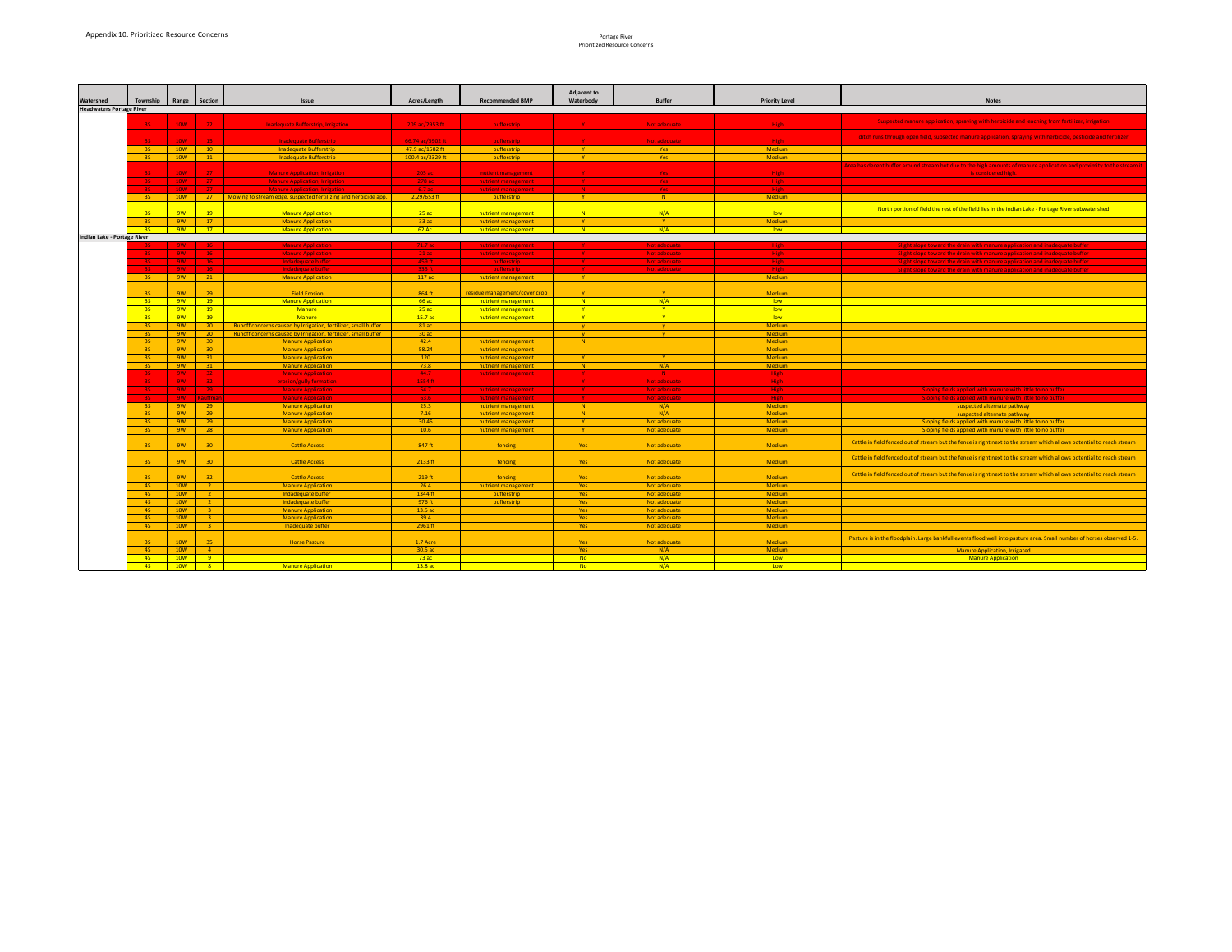## Portage River

| $1.91$ $1.97$ $1.91$                 |
|--------------------------------------|
| <b>Prioritized Resource Concerns</b> |

| de and leaching from fertilizer, irrigation                          |
|----------------------------------------------------------------------|
| , spraying with herbicide, pesticide and fertilizer                  |
|                                                                      |
| s of manure application and proximity to the stream it<br>igh.       |
|                                                                      |
| ndian Lake - Portage River subwatershed                              |
|                                                                      |
|                                                                      |
| pplication and inadequate buffer<br>pplication and inadequate buffer |
| pplication and inadequate buffer<br>pplication and inadequate buffer |
|                                                                      |
|                                                                      |
|                                                                      |
|                                                                      |
|                                                                      |
|                                                                      |
|                                                                      |
|                                                                      |
| with little to no buffer                                             |
| with little to no buffer                                             |
| pathway<br>pathway                                                   |
| with little to no buffer<br>with little to no buffer                 |
| the stream which allows potential to reach stream                    |
| the stream which allows potential to reach stream                    |
| the stream which allows potential to reach stream                    |
|                                                                      |
|                                                                      |
|                                                                      |
| pasture area. Small number of horses observed 1-5.                   |
| Irrigated<br>tion                                                    |

|                                 |             |                 |                                                                   |                                                                 |                  |                                            | <b>Adjacent to</b>              |                              |                         |                                                                                                                            |
|---------------------------------|-------------|-----------------|-------------------------------------------------------------------|-----------------------------------------------------------------|------------------|--------------------------------------------|---------------------------------|------------------------------|-------------------------|----------------------------------------------------------------------------------------------------------------------------|
| <b>Watershed</b>                | Township    |                 | Range   Section                                                   | <b>Issue</b>                                                    | Acres/Length     | <b>Recommended BMP</b>                     | Waterbody                       | <b>Buffer</b>                | <b>Priority Level</b>   | <b>Notes</b>                                                                                                               |
| <b>Headwaters Portage River</b> |             |                 |                                                                   |                                                                 |                  |                                            |                                 |                              |                         |                                                                                                                            |
|                                 | $35 -$      | 10W             | $-22$                                                             | <b>Inadequate Bufferstrip, Irrigation</b>                       | 209 ac/2953 ft   | bufferstrip                                |                                 | Not adequate                 | High                    | Suspected manure application, spraying with herbicide and leaching from fertilizer, irrigation                             |
|                                 | $3S -$      | <b>10W</b>      | 15                                                                | <b>Inadequate Bufferstrip</b>                                   | 66.74 ac/5902 ft | bufferstrip                                |                                 | Not adequate                 | High                    | ditch runs through open field, supsected manure application, spraying with herbicide, pesticide and fertilizer             |
|                                 | 3S          | 10W             | 10                                                                | Inadequate Bufferstrip                                          | 47.9 ac/1582 ft  | bufferstrip                                | $\mathbf{Y}$                    | Yes                          | <b>Medium</b>           |                                                                                                                            |
|                                 | 3S          | 10W             | 11                                                                | Inadequate Bufferstrip                                          | 100.4 ac/3329 ft | bufferstrip                                | $\mathbf{Y}$                    | Yes                          | Medium                  |                                                                                                                            |
|                                 |             |                 |                                                                   |                                                                 |                  |                                            |                                 |                              |                         | Area has decent buffer around stream but due to the high amounts of manure application and proximity to the stream it      |
|                                 | $3S -$      | $-10W$          | $-27$                                                             | <b>Manure Application, Irrigation</b>                           | 205ac            | nutient management                         |                                 | <b>Yes</b>                   | High                    | is considered high.                                                                                                        |
|                                 |             | <b>10W</b>      | $27 -$                                                            | <b>Manure Application, Irrigation</b>                           | 278 ac           | nutrient management                        | V.                              | Yes -                        | High                    |                                                                                                                            |
|                                 | 3S.         | <b>10W</b>      | $27 -$                                                            | <b>Manure Application, Irrigation</b>                           | 6.7 ac           | nutrient management                        | $\blacksquare$ N $\blacksquare$ | Yes a                        | High                    |                                                                                                                            |
|                                 | $-35$       | 10W             | 27                                                                | Mowing to stream edge, suspected fertilizing and herbicide app. | $2.29/653$ ft    | bufferstrip                                | $\mathbf{Y}$                    | N                            | Medium                  |                                                                                                                            |
|                                 | 3S          | 9W              | 19                                                                | <b>Manure Application</b>                                       | 25ac             | nutrient management                        | $\overline{\mathsf{N}}$         | N/A                          | low                     | North portion of field the rest of the field lies in the Indian Lake - Portage River subwatershed                          |
|                                 | 3S          | 9W              | 17                                                                | <b>Manure Application</b>                                       | 33ac             | nutrient management                        | $\mathbf{Y}$                    |                              | <b>Medium</b>           |                                                                                                                            |
|                                 | 3S          | $-9W$           | 17                                                                | <b>Manure Application</b>                                       | $62$ Ac          | nutrient management                        | $\blacksquare N$                | N/A                          | <b>low</b>              |                                                                                                                            |
| Indian Lake - Portage River     |             |                 |                                                                   |                                                                 |                  |                                            |                                 |                              |                         |                                                                                                                            |
|                                 |             | 9W              | 16 <sup>°</sup>                                                   | <b>Manure Application</b>                                       | 71.7 ac          | nutrient management                        |                                 | Not adequate                 | High                    | Slight slope toward the drain with manure application and inadequate buffer                                                |
|                                 |             | 9W              | 16                                                                | <b>Manure Application</b>                                       | 21ac             | nutrient management                        |                                 | Not adequate                 | High                    | Slight slope toward the drain with manure application and inadequate buffer                                                |
|                                 |             | 9W              | 16 <sub>1</sub>                                                   | Indadequate buffer                                              | 459 ft           | bufferstrip                                |                                 | Not adequate                 | High                    | Slight slope toward the drain with manure application and inadequate buffer                                                |
|                                 |             | 9W              | 16 <sub>1</sub>                                                   | Indadequate buffer                                              | 335 ft           | bufferstrip                                |                                 | Not adequate                 | High                    | Slight slope toward the drain with manure application and inadequate buffer                                                |
|                                 | $-35$       | 9W              | 21                                                                | <b>Manure Application</b>                                       | 117ac            | nutrient management                        | $\mathbf{Y}$                    |                              | <b>Medium</b>           |                                                                                                                            |
|                                 |             |                 |                                                                   |                                                                 |                  |                                            |                                 |                              |                         |                                                                                                                            |
|                                 | 3S          | 9W              | 29                                                                | <b>Field Erosion</b>                                            | 864 ft           | residue management/cover crop              |                                 |                              | Medium                  |                                                                                                                            |
|                                 | $-35$       | 9W              | 19                                                                | <b>Manure Application</b>                                       | 66ac             | nutrient management                        | N                               | N/A                          | <b>low</b>              |                                                                                                                            |
|                                 | $-35$       | 9W              | 19                                                                | Manure                                                          | 25ac             | nutrient management                        | $\mathbf{Y}$                    | $\mathbf{v}$                 | <b>low</b>              |                                                                                                                            |
|                                 | 3S          | 9W              | 19                                                                | Manure                                                          | 15.7ac           | nutrient management                        | $\mathbf{Y}$                    |                              | low                     |                                                                                                                            |
|                                 | 3S          | 9W              | 20 <sub>2</sub>                                                   | Runoff concerns caused by Irrigation, fertilizer, small buffer  | 81ac             |                                            |                                 |                              | <b>Medium</b>           |                                                                                                                            |
|                                 | 3S          | 9W              | 20                                                                | Runoff concerns caused by Irrigation, fertilizer, small buffer  | 30ac             |                                            |                                 |                              | Medium                  |                                                                                                                            |
|                                 | 3S          | 9W              | 30 <sup>°</sup>                                                   | <b>Manure Application</b>                                       | 42.4             | nutrient management                        | N                               |                              | <b>Medium</b>           |                                                                                                                            |
|                                 | 3S          | <b>9W</b>       | 30 <sup>°</sup>                                                   | <b>Manure Application</b>                                       | 58.24            | nutrient management                        |                                 |                              | <b>Medium</b>           |                                                                                                                            |
|                                 | 3S          | 9W              | 31                                                                | <b>Manure Application</b>                                       | 120              | nutrient management                        | ∴Y.                             |                              | <b>Medium</b>           |                                                                                                                            |
|                                 | 3S          | 9W              | 31                                                                | <b>Manure Application</b>                                       | 73.8             | nutrient management                        | N                               | N/A                          | Medium                  |                                                                                                                            |
|                                 | 3S -        | 9W              | $32 -$                                                            | <b>Manure Application</b>                                       | 44.7             | nutrient management                        |                                 |                              | High                    |                                                                                                                            |
|                                 | 3S -        | 9W              | $32 -$                                                            | erosion/gully formation                                         | $1554$ ft        |                                            |                                 | Not adequate                 | High                    |                                                                                                                            |
|                                 |             | 9W              | $29 -$                                                            | <b>Manure Application</b>                                       | 54.7             | nutrient management                        |                                 | Not adequate                 | High                    | Sloping fields applied with manure with little to no buffer                                                                |
|                                 |             | 9W              | Kauffman                                                          | <b>Manure Application</b>                                       | 63.6             | nutrient management                        |                                 | Not adequate                 | High                    | Sloping fields applied with manure with little to no buffer                                                                |
|                                 | $-35$       | 9W              | 29                                                                | <b>Manure Application</b>                                       | 25.3             | nutrient management                        | $\mathbb{N}$                    | N/A                          | Medium                  | suspected alternate pathway                                                                                                |
|                                 | 3S<br>3S    | <b>9W</b><br>9W | 29<br>29                                                          | <b>Manure Application</b>                                       | 7.16<br>30.45    | nutrient management                        | $\mathbb{N}$                    | N/A                          | <b>Medium</b>           | suspected alternate pathway                                                                                                |
|                                 | 3S          | 9W              | 28                                                                | <b>Manure Application</b><br><b>Manure Application</b>          | 10.6             | nutrient management<br>nutrient management | $\mathbf{Y}$<br>$\mathbf{Y}$    | Not adequate<br>Not adequate | <b>Medium</b><br>Medium | Sloping fields applied with manure with little to no buffer<br>Sloping fields applied with manure with little to no buffer |
|                                 |             |                 |                                                                   |                                                                 |                  |                                            |                                 |                              |                         | Cattle in field fenced out of stream but the fence is right next to the stream which allows potential to reach stream      |
|                                 | 3S          | 9W              | 30 <sup>°</sup>                                                   | <b>Cattle Access</b>                                            | 847 ft           | fencing                                    | Yes                             | Not adequate                 | Medium                  |                                                                                                                            |
|                                 | 3S          | 9W              | 30 <sup>°</sup>                                                   | <b>Cattle Access</b>                                            | $2133$ ft        | fencing                                    | Yes                             | Not adequate                 | <b>Medium</b>           | Cattle in field fenced out of stream but the fence is right next to the stream which allows potential to reach stream      |
|                                 | 3S          | 9W              | 32 <sup>2</sup>                                                   | <b>Cattle Access</b>                                            | 219 ft           | fencing                                    | Yes                             | Not adequate                 | <b>Medium</b>           | Cattle in field fenced out of stream but the fence is right next to the stream which allows potential to reach stream      |
|                                 | $-4S$       | 10W             | $\overline{2}$                                                    | <b>Manure Application</b>                                       | 26.4             | nutrient management                        | Yes                             | Not adequate                 | <b>Medium</b>           |                                                                                                                            |
|                                 | $-4S$       | 10W             | $\overline{2}$                                                    | Indadequate buffer                                              | 1344 ft          | bufferstrip                                | Yes                             | Not adequate                 | <b>Medium</b>           |                                                                                                                            |
|                                 | $-4S$       | 10W             | $\overline{2}$                                                    | Indadequate buffer                                              | 976 ft           | bufferstrip                                | Yes                             | Not adequate                 | <b>Medium</b>           |                                                                                                                            |
|                                 | 4S          | 10W             | 3 <sup>2</sup>                                                    | <b>Manure Application</b>                                       | 13.5 ac          |                                            | Yes                             | Not adequate                 | <b>Medium</b>           |                                                                                                                            |
|                                 | $-4S$       | 10W             | $3 -$                                                             | <b>Manure Application</b>                                       | 39.4             |                                            | Yes                             | Not adequate                 | <b>Medium</b>           |                                                                                                                            |
|                                 | $-4S$       | 10W             | 3 <sup>2</sup>                                                    | Inadequate buffer                                               | $2961$ ft        |                                            | Yes                             | Not adequate                 | Medium                  |                                                                                                                            |
|                                 |             |                 |                                                                   |                                                                 |                  |                                            |                                 |                              |                         | Pasture is in the floodplain. Large bankfull events flood well into pasture area. Small number of horses observed 1-5.     |
|                                 | 3S          | 10 <sub>W</sub> | 35                                                                | <b>Horse Pasture</b>                                            | 1.7 Acre         |                                            | Yes                             | Not adequate                 | <b>Medium</b>           |                                                                                                                            |
|                                 | 4S          | 10W<br>10W      | $\sim$ 4<br>$\overline{9}$                                        |                                                                 | 30.5ac<br>73ac   |                                            | Yes<br><b>No</b>                | N/A<br>N/A                   | <b>Medium</b>           | <b>Manure Application, Irrigated</b><br><b>Manure Application</b>                                                          |
|                                 | 4S<br>$-4S$ | 10W             | $\begin{array}{ c c c }\n\hline\n8 & \rightarrow & \n\end{array}$ | <b>Manure Application</b>                                       | 13.8ac           |                                            | No                              | N/A                          | Low<br>Low              |                                                                                                                            |
|                                 |             |                 |                                                                   |                                                                 |                  |                                            |                                 |                              |                         |                                                                                                                            |